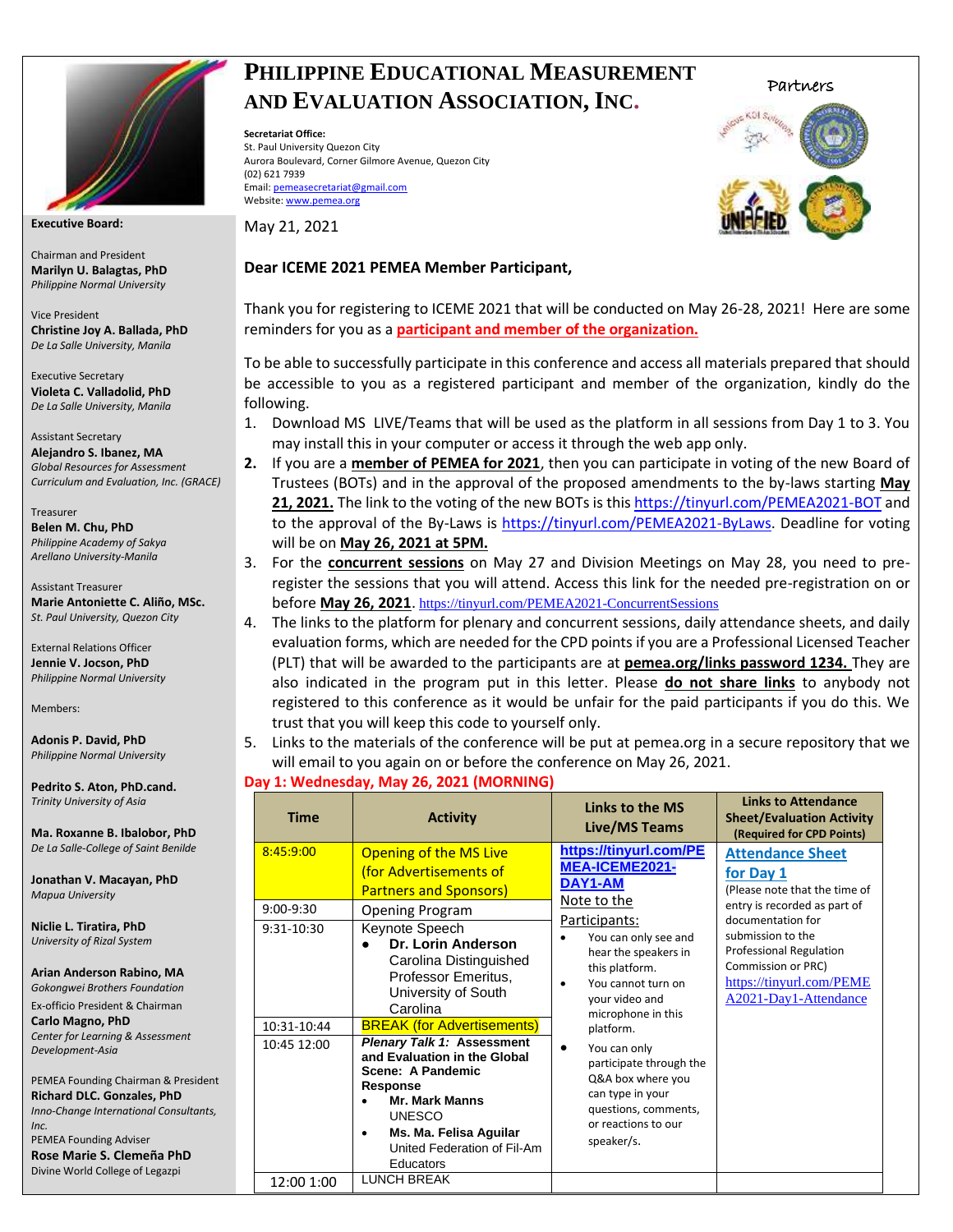

**Executive Board:**

Chairman and President **Marilyn U. Balagtas, PhD** *Philippine Normal University*

Vice President **Christine Joy A. Ballada, PhD** *De La Salle University, Manila* 

Executive Secretary **Violeta C. Valladolid, PhD** *De La Salle University, Manila*

Assistant Secretary **Alejandro S. Ibanez, MA** *Global Resources for Assessment Curriculum and Evaluation, Inc. (GRACE)*

Treasurer **Belen M. Chu, PhD** *Philippine Academy of Sakya Arellano University-Manila* 

Assistant Treasurer **Marie Antoniette C. Aliño, MSc.**  *St. Paul University, Quezon City*

External Relations Officer **Jennie V. Jocson, PhD** *Philippine Normal University*

Members:

**Adonis P. David, PhD** *Philippine Normal University*

**Pedrito S. Aton, PhD.cand.** *Trinity University of Asia*

**Ma. Roxanne B. Ibalobor, PhD** *De La Salle-College of Saint Benilde*

**Jonathan V. Macayan, PhD** *Mapua University*

**Niclie L. Tiratira, PhD** *University of Rizal System*

**Arian Anderson Rabino, MA** *Gokongwei Brothers Foundation*

Ex-officio President & Chairman **Carlo Magno, PhD** *Center for Learning & Assessment Development-Asia*

PEMEA Founding Chairman & President **Richard DLC. Gonzales, PhD** *Inno-Change International Consultants, Inc.* PEMEA Founding Adviser

**Rose Marie S. Clemeña PhD** Divine World College of Legazpi

## **PHILIPPINE EDUCATIONAL MEASUREMENT AND EVALUATION ASSOCIATION, INC.**

**Secretariat Office:**  St. Paul University Quezon City Aurora Boulevard, Corner Gilmore Avenue, Quezon City (02) 621 7939 Email[: pemeasecretariat@gmail.com](mailto:pemeasecretariat@gmail.com) Website[: www.pemea.org](http://www.pemea.org/)

May 21, 2021

### **Dear ICEME 2021 PEMEA Member Participant,**

Thank you for registering to ICEME 2021 that will be conducted on May 26-28, 2021! Here are some reminders for you as a **participant and member of the organization.**

To be able to successfully participate in this conference and access all materials prepared that should be accessible to you as a registered participant and member of the organization, kindly do the following.

- 1. Download MS LIVE/Teams that will be used as the platform in all sessions from Day 1 to 3. You may install this in your computer or access it through the web app only.
- **2.** If you are a **member of PEMEA for 2021**, then you can participate in voting of the new Board of Trustees (BOTs) and in the approval of the proposed amendments to the by-laws starting **May 21, 2021.** The link to the voting of the new BOTs is thi[s https://tinyurl.com/PEMEA2021-BOT](https://tinyurl.com/PEMEA2021-BOT?fbclid=IwAR1AIt9X4RGlmfZbllWh0Wm10BGhJYie_mmnLMJBwQ_Lkxm-Pq9YIWm4lGE) and to the approval of the By-Laws is [https://tinyurl.com/PEMEA2021-ByLaws.](https://tinyurl.com/PEMEA2021-ByLaws) Deadline for voting will be on **May 26, 2021 at 5PM.**
- 3. For the **concurrent sessions** on May 27 and Division Meetings on May 28, you need to preregister the sessions that you will attend. Access this link for the needed pre-registration on or before **May 26, 2021**. <https://tinyurl.com/PEMEA2021-ConcurrentSessions>
- 4. The links to the platform for plenary and concurrent sessions, daily attendance sheets, and daily evaluation forms, which are needed for the CPD points if you are a Professional Licensed Teacher (PLT) that will be awarded to the participants are at **pemea.org/links password 1234.** They are also indicated in the program put in this letter. Please **do not share links** to anybody not registered to this conference as it would be unfair for the paid participants if you do this. We trust that you will keep this code to yourself only.
- 5. Links to the materials of the conference will be put at pemea.org in a secure repository that we will email to you again on or before the conference on May 26, 2021.

### **Day 1: Wednesday, May 26, 2021 (MORNING)**

| <b>Time</b>                | <b>Activity</b>                                                                                                                                                                                                                                              | Links to the MS<br>Live/MS Teams                                                                                                                                        | <b>Links to Attendance</b><br><b>Sheet/Evaluation Activity</b><br>(Required for CPD Points)                                                         |
|----------------------------|--------------------------------------------------------------------------------------------------------------------------------------------------------------------------------------------------------------------------------------------------------------|-------------------------------------------------------------------------------------------------------------------------------------------------------------------------|-----------------------------------------------------------------------------------------------------------------------------------------------------|
| 8:45:9:00                  | <b>Opening of the MS Live</b><br>(for Advertisements of<br><b>Partners and Sponsors)</b>                                                                                                                                                                     | https://tinyurl.com/PE<br>MEA-ICEME2021-<br>DAY1-AM<br>Note to the                                                                                                      | <b>Attendance Sheet</b><br>for Day 1<br>(Please note that the time of<br>entry is recorded as part of                                               |
| $9:00-9:30$<br>9:31-10:30  | <b>Opening Program</b><br>Keynote Speech<br>Dr. Lorin Anderson<br>Carolina Distinguished<br>Professor Emeritus,<br>University of South<br>Carolina                                                                                                           | Participants:<br>You can only see and<br>hear the speakers in<br>this platform.<br>You cannot turn on<br>your video and<br>microphone in this                           | documentation for<br>submission to the<br><b>Professional Regulation</b><br>Commission or PRC)<br>https://tinyurl.com/PEME<br>A2021-Day1-Attendance |
| 10:31-10:44<br>10:45 12:00 | <b>BREAK (for Advertisements)</b><br><b>Plenary Talk 1: Assessment</b><br>and Evaluation in the Global<br>Scene: A Pandemic<br>Response<br><b>Mr. Mark Manns</b><br><b>UNESCO</b><br>Ms. Ma. Felisa Aguilar<br>٠<br>United Federation of Fil-Am<br>Educators | platform.<br>You can only<br>$\bullet$<br>participate through the<br>Q&A box where you<br>can type in your<br>questions, comments,<br>or reactions to our<br>speaker/s. |                                                                                                                                                     |
| 12:00 1:00                 | <b>LUNCH BREAK</b>                                                                                                                                                                                                                                           |                                                                                                                                                                         |                                                                                                                                                     |



Partners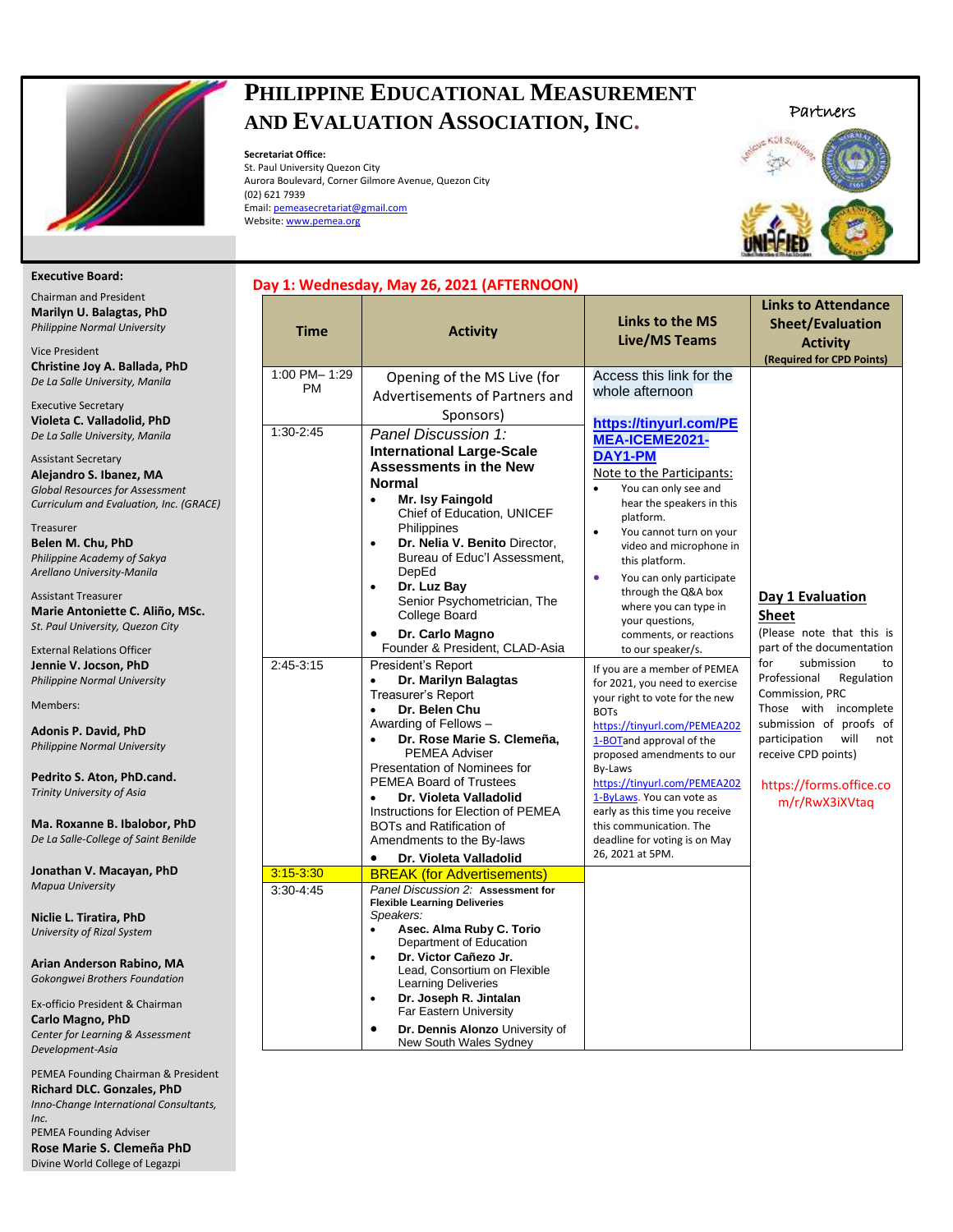

# **PHILIPPINE EDUCATIONAL MEASUREMENT AND EVALUATION ASSOCIATION, INC.**

**Secretariat Office:** 

St. Paul University Quezon City Aurora Boulevard, Corner Gilmore Avenue, Quezon City (02) 621 7939 Email[: pemeasecretariat@gmail.com](mailto:pemeasecretariat@gmail.com) Website[: www.pemea.org](http://www.pemea.org/)





#### **Executive Board:**

| <b>Chairman and President</b><br>Marilyn U. Balagtas, PhD<br>Philippine Normal University                                                  |  |
|--------------------------------------------------------------------------------------------------------------------------------------------|--|
| <b>Vice President</b><br>Christine Joy A. Ballada, PhD<br>De La Salle University, Manila                                                   |  |
| <b>Executive Secretary</b><br>Violeta C. Valladolid, PhD<br>De La Salle University, Manila                                                 |  |
| <b>Assistant Secretary</b><br>Alejandro S. Ibanez, MA<br><b>Global Resources for Assessment</b><br>Curriculum and Evaluation, Inc. (GRACE) |  |
| Treasurer<br>Belen M. Chu, PhD<br>Philippine Academy of Sakya<br>Arellano University-Manila                                                |  |
| <b>Assistant Treasurer</b><br>Marie Antoniette C. Aliño, MSc.<br>St. Paul University, Quezon City                                          |  |
| <b>External Relations Officer</b><br>Jennie V. Jocson, PhD<br>Philippine Normal University                                                 |  |
| Members:                                                                                                                                   |  |
| <b>Adonis P. David, PhD</b><br>Philippine Normal University                                                                                |  |
| Pedrito S. Aton, PhD.cand.<br>Trinity University of Asia                                                                                   |  |
| Ma. Roxanne B. Ibalobor, PhD<br>De La Salle-College of Saint Benilde                                                                       |  |
| Jonathan V. Macayan, PhD<br><b>Mapua University</b>                                                                                        |  |
| Niclie L. Tiratira, PhD<br>University of Rizal System                                                                                      |  |
| Arian Anderson Rabino, MA<br>Gokongwei Brothers Foundation                                                                                 |  |
| Ex-officio President & Chairman<br>Carlo Magno, PhD<br>Center for Learning & Assessment<br>Development-Asia                                |  |
| PEMEA Founding Chairman & President<br>Richard DLC. Gonzales, PhD<br>Inno-Change International Consultants,                                |  |
| Inc.<br>PEMEA Founding Adviser                                                                                                             |  |

| <b>PEMEA Founding Adviser</b> |  |  |  |
|-------------------------------|--|--|--|
|                               |  |  |  |
|                               |  |  |  |
|                               |  |  |  |

| <b>Time</b>                                           | <b>Activity</b>                                                                                                                                                                                                                                                                                                                                                                                                                                                                                                                                                                                                                                                                                                                                                                                                                                                                                                                      | Links to the MS<br><b>Live/MS Teams</b>                                                                                                                                                                                                                                                                                                                                                                                                                                                                                                                                                                                                                                                                                                                                                                                                                                      | <b>Links to Attendance</b><br><b>Sheet/Evaluation</b><br><b>Activity</b><br>(Required for CPD Points)                                                                                                                                                                                                                   |  |
|-------------------------------------------------------|--------------------------------------------------------------------------------------------------------------------------------------------------------------------------------------------------------------------------------------------------------------------------------------------------------------------------------------------------------------------------------------------------------------------------------------------------------------------------------------------------------------------------------------------------------------------------------------------------------------------------------------------------------------------------------------------------------------------------------------------------------------------------------------------------------------------------------------------------------------------------------------------------------------------------------------|------------------------------------------------------------------------------------------------------------------------------------------------------------------------------------------------------------------------------------------------------------------------------------------------------------------------------------------------------------------------------------------------------------------------------------------------------------------------------------------------------------------------------------------------------------------------------------------------------------------------------------------------------------------------------------------------------------------------------------------------------------------------------------------------------------------------------------------------------------------------------|-------------------------------------------------------------------------------------------------------------------------------------------------------------------------------------------------------------------------------------------------------------------------------------------------------------------------|--|
| 1:00 PM-1:29<br><b>PM</b><br>1:30-2:45<br>$2:45-3:15$ | Opening of the MS Live (for<br>Advertisements of Partners and<br>Sponsors)<br>Panel Discussion 1:<br><b>International Large-Scale</b><br><b>Assessments in the New</b><br><b>Normal</b><br>Mr. Isy Faingold<br>$\bullet$<br>Chief of Education, UNICEF<br>Philippines<br>Dr. Nelia V. Benito Director,<br>$\bullet$<br>Bureau of Educ'l Assessment,<br>DepEd<br>Dr. Luz Bay<br>$\bullet$<br>Senior Psychometrician, The<br>College Board<br>Dr. Carlo Magno<br>$\bullet$<br>Founder & President, CLAD-Asia<br>President's Report<br>Dr. Marilyn Balagtas<br>Treasurer's Report<br>Dr. Belen Chu<br>$\bullet$<br>Awarding of Fellows -<br>Dr. Rose Marie S. Clemeña,<br><b>PEMEA Adviser</b><br>Presentation of Nominees for<br><b>PEMEA Board of Trustees</b><br>Dr. Violeta Valladolid<br>Instructions for Election of PEMEA<br><b>BOTs and Ratification of</b><br>Amendments to the By-laws<br>Dr. Violeta Valladolid<br>$\bullet$ | Access this link for the<br>whole afternoon<br>https://tinyurl.com/PE<br>MEA-ICEME2021-<br>DAY1-PM<br>Note to the Participants:<br>You can only see and<br>$\bullet$<br>hear the speakers in this<br>platform.<br>You cannot turn on your<br>$\bullet$<br>video and microphone in<br>this platform.<br>You can only participate<br>$\bullet$<br>through the Q&A box<br>where you can type in<br>your questions,<br>comments, or reactions<br>to our speaker/s.<br>If you are a member of PEMEA<br>for 2021, you need to exercise<br>your right to vote for the new<br><b>BOTs</b><br>https://tinyurl.com/PEMEA202<br>1-BOTand approval of the<br>proposed amendments to our<br><b>Bv-Laws</b><br>https://tinyurl.com/PEMEA202<br>1-ByLaws. You can vote as<br>early as this time you receive<br>this communication. The<br>deadline for voting is on May<br>26, 2021 at 5PM. | Day 1 Evaluation<br>Sheet<br>(Please note that this is<br>part of the documentation<br>for<br>submission<br>to<br>Professional<br>Regulation<br>Commission, PRC<br>Those with incomplete<br>submission of proofs of<br>will<br>participation<br>not<br>receive CPD points)<br>https://forms.office.co<br>m/r/RwX3iXVtaq |  |
| $3:15 - 3:30$<br>3:30-4:45                            | <b>BREAK (for Advertisements)</b><br>Panel Discussion 2: Assessment for<br><b>Flexible Learning Deliveries</b><br>Speakers:<br>Asec. Alma Ruby C. Torio<br>Department of Education<br>Dr. Victor Cañezo Jr.<br>$\bullet$<br>Lead, Consortium on Flexible<br><b>Learning Deliveries</b><br>Dr. Joseph R. Jintalan<br>$\bullet$<br>Far Eastern University<br>Dr. Dennis Alonzo University of<br>$\bullet$                                                                                                                                                                                                                                                                                                                                                                                                                                                                                                                              |                                                                                                                                                                                                                                                                                                                                                                                                                                                                                                                                                                                                                                                                                                                                                                                                                                                                              |                                                                                                                                                                                                                                                                                                                         |  |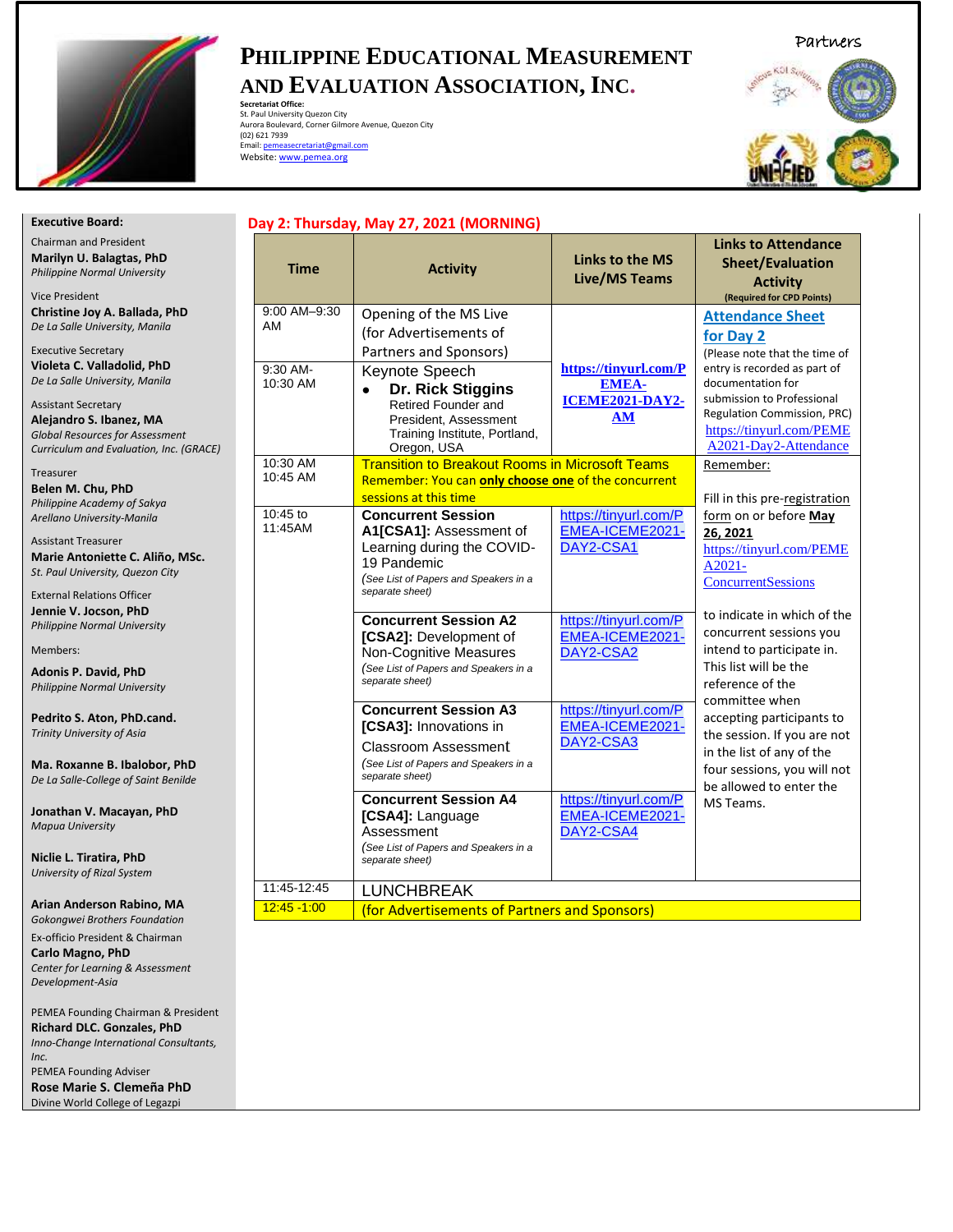

*Center for Learning & Assessment* 

PEMEA Founding Chairman & President **Richard DLC. Gonzales, PhD** *Inno-Change International Consultants,* 

*Development-Asia*

PEMEA Founding Adviser **Rose Marie S. Clemeña PhD** Divine World College of Legazpi

*Inc.*

# **PHILIPPINE EDUCATIONAL MEASUREMENT AND EVALUATION ASSOCIATION, INC.**

**Secretariat Office:**<br>Aurora Boulevard, Corner Gilmore Avenue, Quezon City<br>Aurora Boulevard, Corner Gilmore Avenue, Quezon City<br>(02) 621 7939<br>Email: <u>pemeasecretariat@gmail.com</u> Website[: www.pemea.org](http://www.pemea.org/)



| <b>Executive Board:</b>                                                                                                                                                                                                                  |                      | Day 2: Thursday, May 27, 2021 (MORNING)                                                                                                                                    |                                                                |                                                                                                                                                                                                      |
|------------------------------------------------------------------------------------------------------------------------------------------------------------------------------------------------------------------------------------------|----------------------|----------------------------------------------------------------------------------------------------------------------------------------------------------------------------|----------------------------------------------------------------|------------------------------------------------------------------------------------------------------------------------------------------------------------------------------------------------------|
| <b>Chairman and President</b><br>Marilyn U. Balagtas, PhD<br>Philippine Normal University<br><b>Vice President</b>                                                                                                                       | <b>Time</b>          | <b>Activity</b>                                                                                                                                                            | <b>Links to the MS</b><br><b>Live/MS Teams</b>                 | <b>Links to Attendance</b><br><b>Sheet/Evaluation</b><br><b>Activity</b><br>(Required for CPD Points)                                                                                                |
| Christine Joy A. Ballada, PhD<br>De La Salle University, Manila                                                                                                                                                                          | 9:00 AM-9:30<br>AM   | Opening of the MS Live<br>(for Advertisements of                                                                                                                           |                                                                | <b>Attendance Sheet</b><br>for Day 2                                                                                                                                                                 |
| <b>Executive Secretary</b><br>Violeta C. Valladolid, PhD<br>De La Salle University, Manila<br><b>Assistant Secretary</b><br>Alejandro S. Ibanez, MA<br><b>Global Resources for Assessment</b><br>Curriculum and Evaluation, Inc. (GRACE) | 9:30 AM-<br>10:30 AM | Partners and Sponsors)<br>Keynote Speech<br>Dr. Rick Stiggins<br>$\bullet$<br>Retired Founder and<br>President. Assessment<br>Training Institute, Portland,<br>Oregon, USA | https://tinyurl.com/P<br><b>EMEA-</b><br>ICEME2021-DAY2-<br>AM | (Please note that the time of<br>entry is recorded as part of<br>documentation for<br>submission to Professional<br>Regulation Commission, PRC)<br>https://tinyurl.com/PEME<br>A2021-Day2-Attendance |
| Treasurer<br>Belen M. Chu, PhD                                                                                                                                                                                                           | 10:30 AM<br>10:45 AM | <b>Transition to Breakout Rooms in Microsoft Teams</b><br>Remember: You can only choose one of the concurrent<br>sessions at this time                                     |                                                                | Remember:<br>Fill in this pre-registration                                                                                                                                                           |
| Philippine Academy of Sakya<br>Arellano University-Manila<br><b>Assistant Treasurer</b><br>Marie Antoniette C. Aliño, MSc.<br>St. Paul University, Quezon City<br><b>External Relations Officer</b>                                      | 10:45 to<br>11:45AM  | <b>Concurrent Session</b><br>A1[CSA1]: Assessment of<br>Learning during the COVID-<br>19 Pandemic<br>(See List of Papers and Speakers in a<br>separate sheet)              | https://tinyurl.com/P<br>EMEA-ICEME2021-<br>DAY2-CSA1          | form on or before May<br>26, 2021<br>https://tinyurl.com/PEME<br>A2021-<br><b>ConcurrentSessions</b>                                                                                                 |
| Jennie V. Jocson, PhD<br>Philippine Normal University<br>Members:<br><b>Adonis P. David, PhD</b><br>Philippine Normal University                                                                                                         |                      | <b>Concurrent Session A2</b><br>[CSA2]: Development of<br>Non-Cognitive Measures<br>(See List of Papers and Speakers in a<br>separate sheet)                               | https://tinyurl.com/P<br>EMEA-ICEME2021-<br>DAY2-CSA2          | to indicate in which of the<br>concurrent sessions you<br>intend to participate in.<br>This list will be the<br>reference of the                                                                     |
| Pedrito S. Aton, PhD.cand.<br>Trinity University of Asia<br>Ma. Roxanne B. Ibalobor, PhD<br>De La Salle-College of Saint Benilde                                                                                                         |                      | <b>Concurrent Session A3</b><br>[CSA3]: Innovations in<br>Classroom Assessment<br>(See List of Papers and Speakers in a<br>separate sheet)                                 | https://tinyurl.com/P<br>EMEA-ICEME2021-<br>DAY2-CSA3          | committee when<br>accepting participants to<br>the session. If you are not<br>in the list of any of the<br>four sessions, you will not                                                               |
| Jonathan V. Macayan, PhD<br><b>Mapua University</b>                                                                                                                                                                                      |                      | <b>Concurrent Session A4</b><br>[CSA4]: Language<br>Assessment<br>(See List of Papers and Speakers in a                                                                    | https://tinyurl.com/P<br>EMEA-ICEME2021-<br>DAY2-CSA4          | be allowed to enter the<br>MS Teams.                                                                                                                                                                 |
| Niclie L. Tiratira, PhD<br>University of Rizal System                                                                                                                                                                                    | 11:45-12:45          | separate sheet)<br><b>LUNCHBREAK</b>                                                                                                                                       |                                                                |                                                                                                                                                                                                      |
| Arian Anderson Rabino, MA<br>Gokongwei Brothers Foundation                                                                                                                                                                               | $12:45 - 1:00$       | (for Advertisements of Partners and Sponsors)                                                                                                                              |                                                                |                                                                                                                                                                                                      |
| Ex-officio President & Chairman<br>Carlo Magno, PhD                                                                                                                                                                                      |                      |                                                                                                                                                                            |                                                                |                                                                                                                                                                                                      |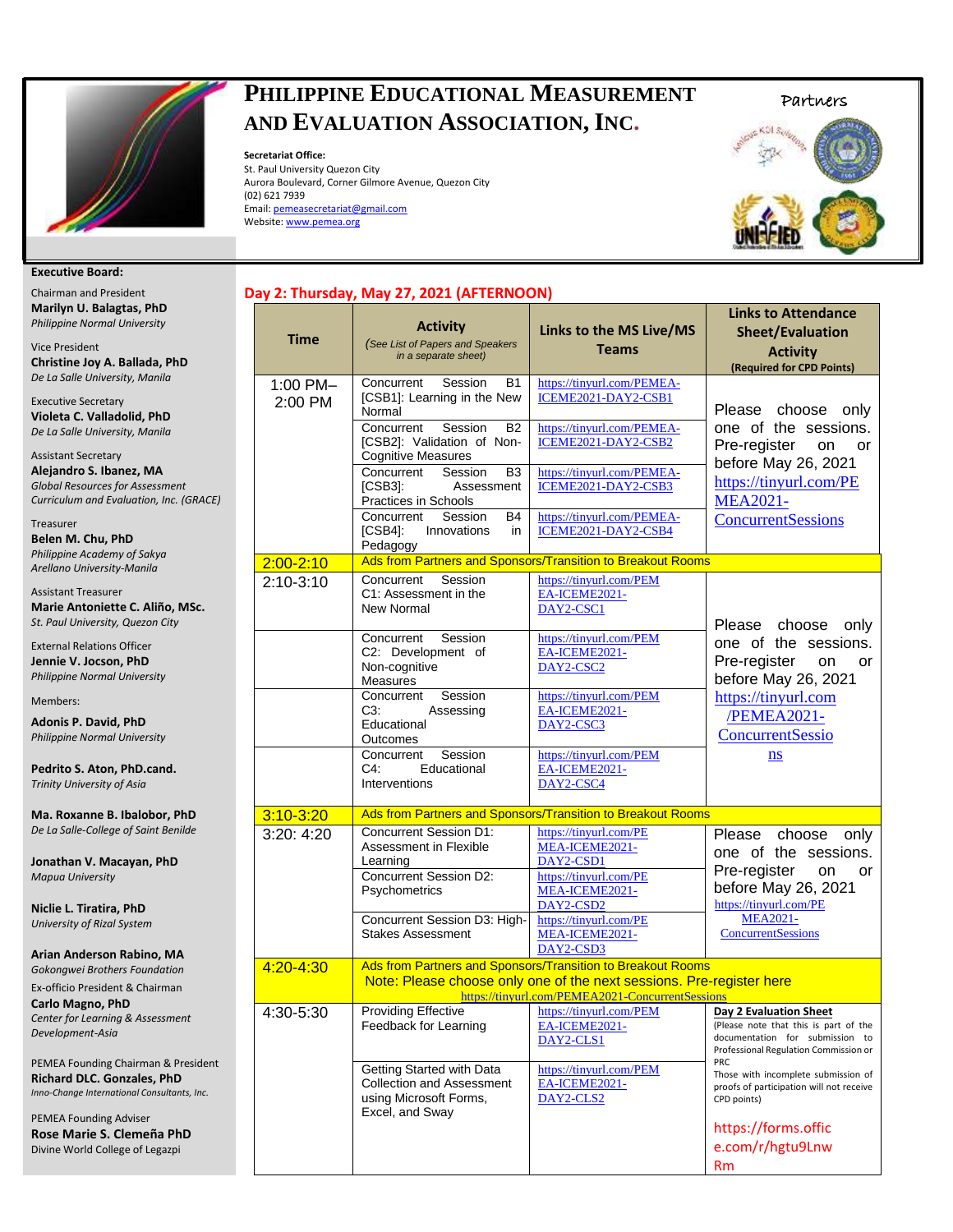

## **PHILIPPINE EDUCATIONAL MEASUREMENT AND EVALUATION ASSOCIATION, INC.**

**Secretariat Office:**  St. Paul University Quezon City Aurora Boulevard, Corner Gilmore Avenue, Quezon City (02) 621 7939 Email[: pemeasecretariat@gmail.com](mailto:pemeasecretariat@gmail.com) Website[: www.pemea.org](http://www.pemea.org/)

**Day 2: Thursday, May 27, 2021 (AFTERNOON)**





#### **Executive Board:**

Chairman and President **Marilyn U. Balagtas, PhD** *Philippine Normal University*

Vice President **Christine Joy A. Ballada, PhD** *De La Salle University, Manila* 

Executive Secretary **Violeta C. Valladolid, PhD** *De La Salle University, Manila*

Assistant Secretary **Alejandro S. Ibanez, MA** *Global Resources for Assessment Curriculum and Evaluation, Inc. (GRACE)*

Treasurer **Belen M. Chu, PhD** *Philippine Academy of Sakya Arellano University-Manila* 

Assistant Treasurer **Marie Antoniette C. Aliño, MSc.**  *St. Paul University, Quezon City*

External Relations Officer **Jennie V. Jocson, PhD** *Philippine Normal University*

Members:

**Adonis P. David, PhD** *Philippine Normal University*

**Pedrito S. Aton, PhD.cand.** *Trinity University of Asia*

**Ma. Roxanne B. Ibalobor, PhD** *De La Salle-College of Saint Benilde*

**Jonathan V. Macayan, PhD** *Mapua University*

**Niclie L. Tiratira, PhD** *University of Rizal System*

**Arian Anderson Rabino, MA** *Gokongwei Brothers Foundation*

Ex-officio President & Chairman **Carlo Magno, PhD** *Center for Learning & Assessment* 

*Development-Asia* PEMEA Founding Chairman & President

**Richard DLC. Gonzales, PhD** *Inno-Change International Consultants, Inc.*

PEMEA Founding Adviser **Rose Marie S. Clemeña PhD** Divine World College of Legazpi

| <b>Time</b>         | <b>Activity</b><br>(See List of Papers and Speakers<br>in a separate sheet)                                                                                                                                                                                                                                                            | Links to the MS Live/MS<br><b>Teams</b>                                                                                                                                                                          | <b>Links to Attendance</b><br><b>Sheet/Evaluation</b><br><b>Activity</b><br>(Required for CPD Points)                                                                          |
|---------------------|----------------------------------------------------------------------------------------------------------------------------------------------------------------------------------------------------------------------------------------------------------------------------------------------------------------------------------------|------------------------------------------------------------------------------------------------------------------------------------------------------------------------------------------------------------------|--------------------------------------------------------------------------------------------------------------------------------------------------------------------------------|
| 1:00 PM-<br>2:00 PM | Concurrent<br>Session<br>B1<br>[CSB1]: Learning in the New<br>Normal<br>Concurrent<br>Session<br><b>B2</b><br>[CSB2]: Validation of Non-<br><b>Cognitive Measures</b><br>Concurrent<br>Session<br>B3<br>$[CSB3]$ :<br>Assessment<br>Practices in Schools<br>Concurrent<br>Session<br>B4<br>$[CSB4]$ :<br>Innovations<br>in<br>Pedagogy | https://tinyurl.com/PEMEA-<br>ICEME2021-DAY2-CSB1<br>https://tinyurl.com/PEMEA-<br>ICEME2021-DAY2-CSB2<br>https://tinyurl.com/PEMEA-<br>ICEME2021-DAY2-CSB3<br>https://tinyurl.com/PEMEA-<br>ICEME2021-DAY2-CSB4 | Please choose only<br>one of the sessions.<br>Pre-register<br>on<br><b>or</b><br>before May 26, 2021<br>https://tinyurl.com/PE<br><b>MEA2021-</b><br><b>ConcurrentSessions</b> |
| $2:00 - 2:10$       |                                                                                                                                                                                                                                                                                                                                        | Ads from Partners and Sponsors/Transition to Breakout Rooms                                                                                                                                                      |                                                                                                                                                                                |
| $2:10-3:10$         | Session<br>Concurrent<br>C1: Assessment in the<br>New Normal<br>Concurrent<br>Session                                                                                                                                                                                                                                                  | https://tinyurl.com/PEM<br>EA-ICEME2021-<br>DAY2-CSC1<br>https://tinyurl.com/PEM                                                                                                                                 | Please choose<br>only<br>one of the sessions.                                                                                                                                  |
|                     | C2: Development of<br>Non-cognitive<br>Measures                                                                                                                                                                                                                                                                                        | EA-ICEME2021-<br>DAY2-CSC2                                                                                                                                                                                       | Pre-register<br>on<br>or<br>before May 26, 2021                                                                                                                                |
|                     | Session<br>Concurrent<br>C3:<br>Assessing<br>Educational<br>Outcomes                                                                                                                                                                                                                                                                   | https://tinyurl.com/PEM<br>EA-ICEME2021-<br>DAY2-CSC3                                                                                                                                                            | https://tinyurl.com<br>/PEMEA2021-<br><b>ConcurrentSessio</b>                                                                                                                  |
|                     | Session<br>Concurrent<br>C4:<br>Educational<br>Interventions                                                                                                                                                                                                                                                                           | https://tinyurl.com/PEM<br>EA-ICEME2021-<br>DAY2-CSC4                                                                                                                                                            | ns                                                                                                                                                                             |
| $3:10 - 3:20$       |                                                                                                                                                                                                                                                                                                                                        | Ads from Partners and Sponsors/Transition to Breakout Rooms                                                                                                                                                      |                                                                                                                                                                                |
| 3:20: 4:20          | <b>Concurrent Session D1:</b><br>Assessment in Flexible<br>Learning<br><b>Concurrent Session D2:</b><br>Psychometrics<br>Concurrent Session D3: High-<br><b>Stakes Assessment</b>                                                                                                                                                      | https://tinyurl.com/PE<br>MEA-ICEME2021-<br>DAY2-CSD1<br>https://tinyurl.com/PE<br>MEA-ICEME2021-<br>DAY2-CSD2<br>https://tinyurl.com/PE<br>MEA-ICEME2021-<br>DAY2-CSD3                                          | Please<br>choose<br>only<br>one of the sessions.<br>Pre-register<br>on<br>or<br>before May 26, 2021<br>https://tinyurl.com/PE<br><b>MEA2021-</b><br><b>ConcurrentSessions</b>  |
| $4:20 - 4:30$       |                                                                                                                                                                                                                                                                                                                                        | Ads from Partners and Sponsors/Transition to Breakout Rooms<br>Note: Please choose only one of the next sessions. Pre-register here<br>https://tinyurl.com/PEMEA2021-ConcurrentSessions                          |                                                                                                                                                                                |
| 4:30-5:30           | <b>Providing Effective</b><br>Feedback for Learning                                                                                                                                                                                                                                                                                    | https://tinyurl.com/PEM<br>EA-ICEME2021-<br>DAY2-CLS1                                                                                                                                                            | Day 2 Evaluation Sheet<br>(Please note that this is part of the<br>documentation for submission to<br>Professional Regulation Commission or<br><b>PRC</b>                      |
|                     | Getting Started with Data<br><b>Collection and Assessment</b><br>using Microsoft Forms,<br>Excel, and Sway                                                                                                                                                                                                                             | https://tinyurl.com/PEM<br>EA-ICEME2021-<br>DAY2-CLS2                                                                                                                                                            | Those with incomplete submission of<br>proofs of participation will not receive<br>CPD points)                                                                                 |
|                     |                                                                                                                                                                                                                                                                                                                                        |                                                                                                                                                                                                                  | https://forms.offic<br>e.com/r/hgtu9Lnw<br>Rm                                                                                                                                  |